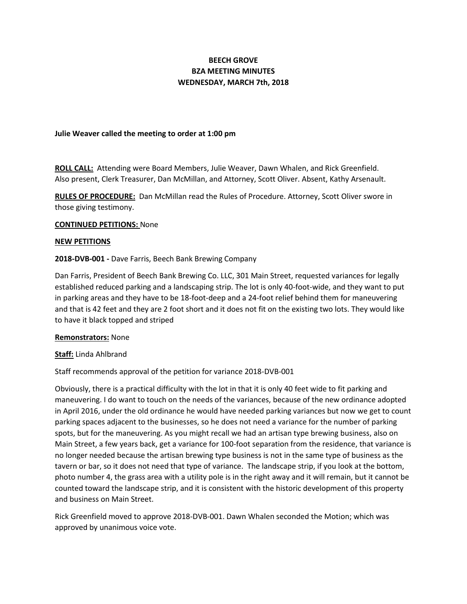# **BEECH GROVE BZA MEETING MINUTES WEDNESDAY, MARCH 7th, 2018**

### **Julie Weaver called the meeting to order at 1:00 pm**

**ROLL CALL:** Attending were Board Members, Julie Weaver, Dawn Whalen, and Rick Greenfield. Also present, Clerk Treasurer, Dan McMillan, and Attorney, Scott Oliver. Absent, Kathy Arsenault.

**RULES OF PROCEDURE:** Dan McMillan read the Rules of Procedure. Attorney, Scott Oliver swore in those giving testimony.

### **CONTINUED PETITIONS:** None

### **NEW PETITIONS**

### **2018-DVB-001 -** Dave Farris, Beech Bank Brewing Company

Dan Farris, President of Beech Bank Brewing Co. LLC, 301 Main Street, requested variances for legally established reduced parking and a landscaping strip. The lot is only 40-foot-wide, and they want to put in parking areas and they have to be 18-foot-deep and a 24-foot relief behind them for maneuvering and that is 42 feet and they are 2 foot short and it does not fit on the existing two lots. They would like to have it black topped and striped

#### **Remonstrators:** None

## **Staff:** Linda Ahlbrand

## Staff recommends approval of the petition for variance 2018-DVB-001

Obviously, there is a practical difficulty with the lot in that it is only 40 feet wide to fit parking and maneuvering. I do want to touch on the needs of the variances, because of the new ordinance adopted in April 2016, under the old ordinance he would have needed parking variances but now we get to count parking spaces adjacent to the businesses, so he does not need a variance for the number of parking spots, but for the maneuvering. As you might recall we had an artisan type brewing business, also on Main Street, a few years back, get a variance for 100-foot separation from the residence, that variance is no longer needed because the artisan brewing type business is not in the same type of business as the tavern or bar, so it does not need that type of variance. The landscape strip, if you look at the bottom, photo number 4, the grass area with a utility pole is in the right away and it will remain, but it cannot be counted toward the landscape strip, and it is consistent with the historic development of this property and business on Main Street.

Rick Greenfield moved to approve 2018-DVB-001. Dawn Whalen seconded the Motion; which was approved by unanimous voice vote.